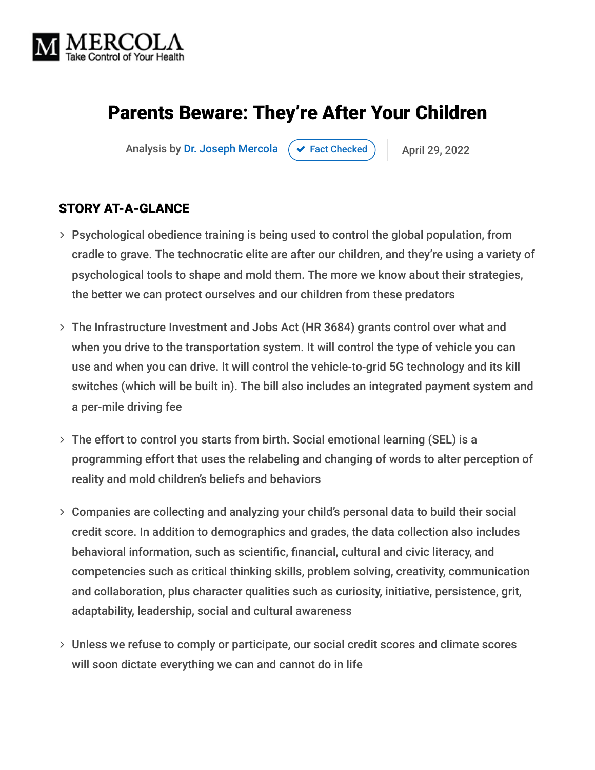

# Parents Beware: They're After Your Children

Analysis by [Dr. Joseph Mercola](https://www.mercola.com/forms/background.htm)  $\rightarrow$  [Fact Checked](javascript:void(0))  $\rightarrow$  April 29, 2022

#### STORY AT-A-GLANCE

- Psychological obedience training is being used to control the global population, from cradle to grave. The technocratic elite are after our children, and they're using a variety of psychological tools to shape and mold them. The more we know about their strategies, the better we can protect ourselves and our children from these predators
- The Infrastructure Investment and Jobs Act (HR 3684) grants control over what and when you drive to the transportation system. It will control the type of vehicle you can use and when you can drive. It will control the vehicle-to-grid 5G technology and its kill switches (which will be built in). The bill also includes an integrated payment system and a per-mile driving fee
- The effort to control you starts from birth. Social emotional learning (SEL) is a programming effort that uses the relabeling and changing of words to alter perception of reality and mold children's beliefs and behaviors
- Companies are collecting and analyzing your child's personal data to build their social credit score. In addition to demographics and grades, the data collection also includes behavioral information, such as scientific, financial, cultural and civic literacy, and competencies such as critical thinking skills, problem solving, creativity, communication and collaboration, plus character qualities such as curiosity, initiative, persistence, grit, adaptability, leadership, social and cultural awareness
- Unless we refuse to comply or participate, our social credit scores and climate scores will soon dictate everything we can and cannot do in life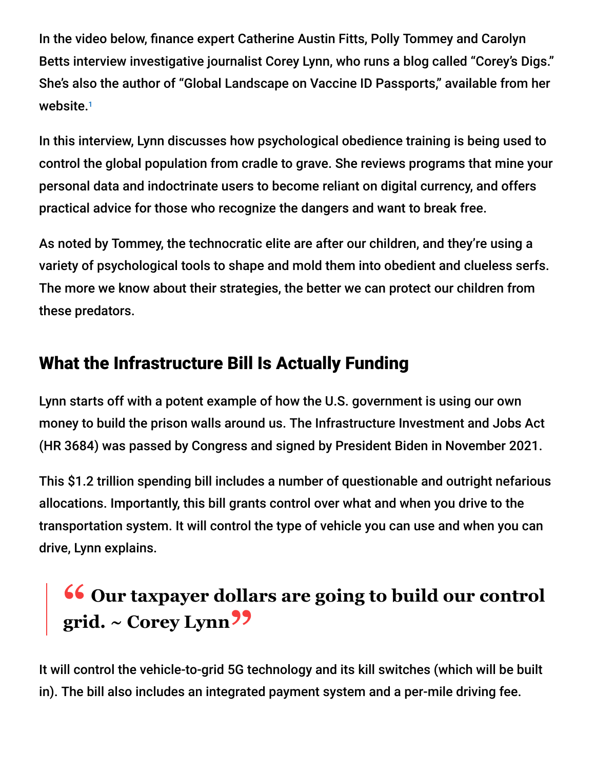In the video below, finance expert Catherine Austin Fitts, Polly Tommey and Carolyn Betts interview investigative journalist Corey Lynn, who runs a blog called "Corey's Digs." She's also the author of "Global Landscape on Vaccine ID Passports," available from her website. 1

In this interview, Lynn discusses how psychological obedience training is being used to control the global population from cradle to grave. She reviews programs that mine your personal data and indoctrinate users to become reliant on digital currency, and offers practical advice for those who recognize the dangers and want to break free.

As noted by Tommey, the technocratic elite are after our children, and they're using a variety of psychological tools to shape and mold them into obedient and clueless serfs. The more we know about their strategies, the better we can protect our children from these predators.

# What the Infrastructure Bill Is Actually Funding

Lynn starts off with a potent example of how the U.S. government is using our own money to build the prison walls around us. The Infrastructure Investment and Jobs Act (HR 3684) was passed by Congress and signed by President Biden in November 2021.

This \$1.2 trillion spending bill includes a number of questionable and outright nefarious allocations. Importantly, this bill grants control over what and when you drive to the transportation system. It will control the type of vehicle you can use and when you can drive, Lynn explains.

# **66** Our taxpayer dollars are going to build our control<br>
orid  $\approx$  Corey Lynn<sup>22</sup> **grid. ~ Corey Lynn"**

It will control the vehicle-to-grid 5G technology and its kill switches (which will be built in). The bill also includes an integrated payment system and a per-mile driving fee.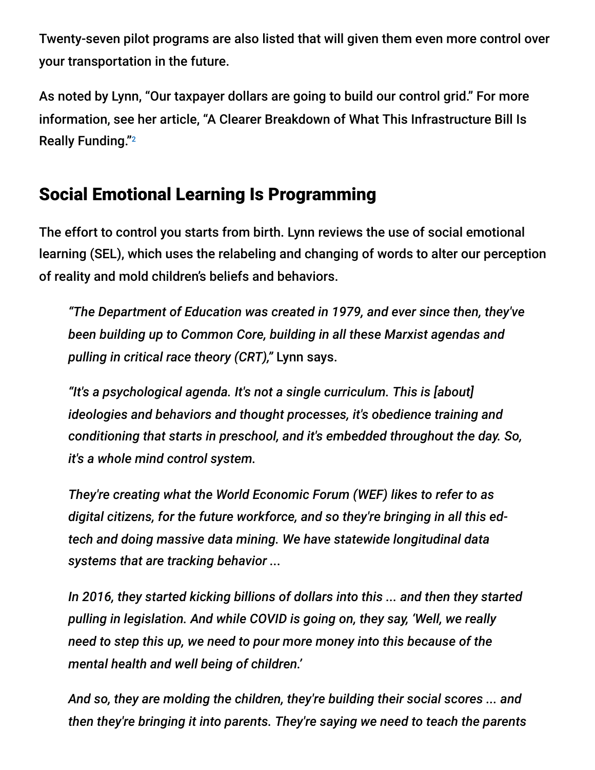Twenty-seven pilot programs are also listed that will given them even more control over your transportation in the future.

As noted by Lynn, "Our taxpayer dollars are going to build our control grid." For more information, see her article, "A Clearer Breakdown of What This Infrastructure Bill Is Really Funding." 2

# Social Emotional Learning Is Programming

The effort to control you starts from birth. Lynn reviews the use of social emotional learning (SEL), which uses the relabeling and changing of words to alter our perception of reality and mold children's beliefs and behaviors.

*"The Department of Education was created in 1979, and ever since then, they've been building up to Common Core, building in all these Marxist agendas and pulling in critical race theory (CRT),"* Lynn says.

*"It's a psychological agenda. It's not a single curriculum. This is [about] ideologies and behaviors and thought processes, it's obedience training and conditioning that starts in preschool, and it's embedded throughout the day. So, it's a whole mind control system.*

*They're creating what the World Economic Forum (WEF) likes to refer to as digital citizens, for the future workforce, and so they're bringing in all this edtech and doing massive data mining. We have statewide longitudinal data systems that are tracking behavior ...*

*In 2016, they started kicking billions of dollars into this ... and then they started pulling in legislation. And while COVID is going on, they say, 'Well, we really need to step this up, we need to pour more money into this because of the mental health and well being of children.'*

*And so, they are molding the children, they're building their social scores ... and then they're bringing it into parents. They're saying we need to teach the parents*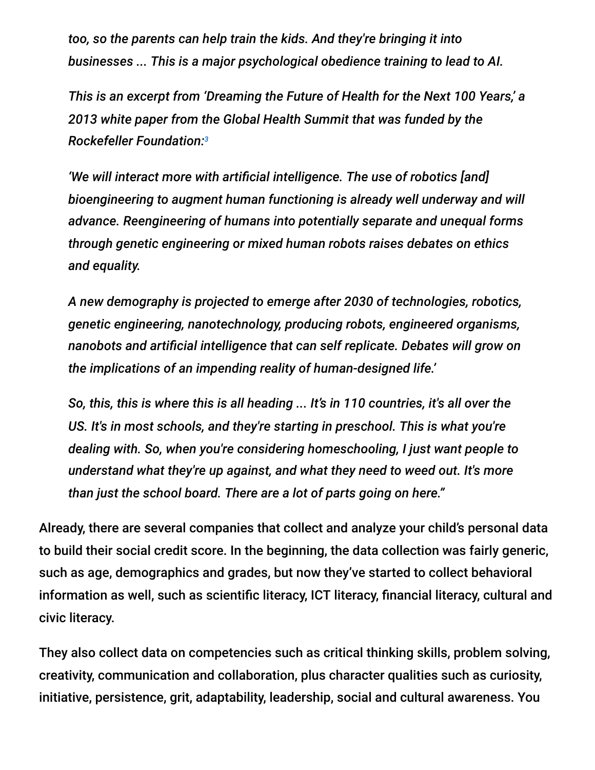*too, so the parents can help train the kids. And they're bringing it into businesses ... This is a major psychological obedience training to lead to AI.*

*This is an excerpt from 'Dreaming the Future of Health for the Next 100 Years,' a 2013 white paper from the Global Health Summit that was funded by the Rockefeller Foundation: 3*

*'We will interact more with artificial intelligence. The use of robotics [and] bioengineering to augment human functioning is already well underway and will advance. Reengineering of humans into potentially separate and unequal forms through genetic engineering or mixed human robots raises debates on ethics and equality.*

*A new demography is projected to emerge after 2030 of technologies, robotics, genetic engineering, nanotechnology, producing robots, engineered organisms, nanobots and artificial intelligence that can self replicate. Debates will grow on the implications of an impending reality of human-designed life.'*

*So, this, this is where this is all heading ... It's in 110 countries, it's all over the US. It's in most schools, and they're starting in preschool. This is what you're dealing with. So, when you're considering homeschooling, I just want people to understand what they're up against, and what they need to weed out. It's more than just the school board. There are a lot of parts going on here."*

Already, there are several companies that collect and analyze your child's personal data to build their social credit score. In the beginning, the data collection was fairly generic, such as age, demographics and grades, but now they've started to collect behavioral information as well, such as scientific literacy, ICT literacy, financial literacy, cultural and civic literacy.

They also collect data on competencies such as critical thinking skills, problem solving, creativity, communication and collaboration, plus character qualities such as curiosity, initiative, persistence, grit, adaptability, leadership, social and cultural awareness. You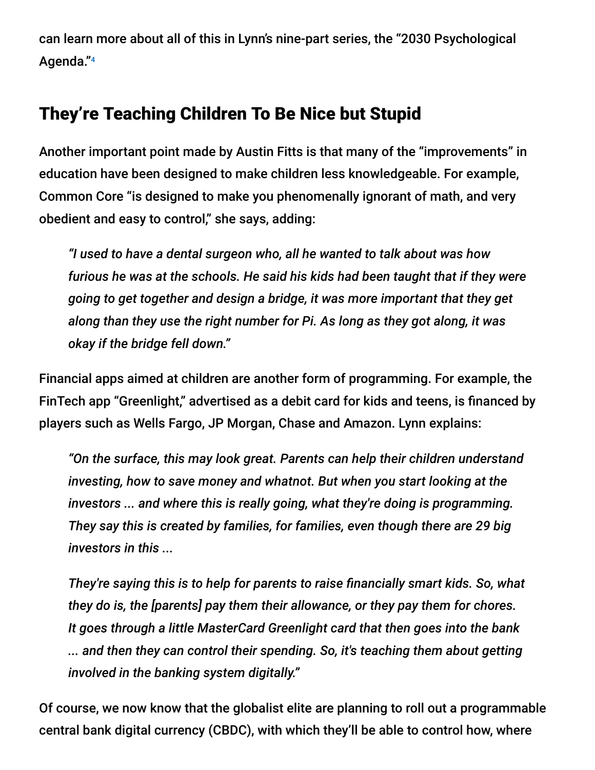can learn more about all of this in Lynn's nine-part series, the "2030 Psychological Agenda." 4

## They're Teaching Children To Be Nice but Stupid

Another important point made by Austin Fitts is that many of the "improvements" in education have been designed to make children less knowledgeable. For example, Common Core "is designed to make you phenomenally ignorant of math, and very obedient and easy to control," she says, adding:

*"I used to have a dental surgeon who, all he wanted to talk about was how furious he was at the schools. He said his kids had been taught that if they were going to get together and design a bridge, it was more important that they get along than they use the right number for Pi. As long as they got along, it was okay if the bridge fell down."*

Financial apps aimed at children are another form of programming. For example, the FinTech app "Greenlight," advertised as a debit card for kids and teens, is financed by players such as Wells Fargo, JP Morgan, Chase and Amazon. Lynn explains:

*"On the surface, this may look great. Parents can help their children understand investing, how to save money and whatnot. But when you start looking at the investors ... and where this is really going, what they're doing is programming. They say this is created by families, for families, even though there are 29 big investors in this ...*

*They're saying this is to help for parents to raise financially smart kids. So, what they do is, the [parents] pay them their allowance, or they pay them for chores. It goes through a little MasterCard Greenlight card that then goes into the bank ... and then they can control their spending. So, it's teaching them about getting involved in the banking system digitally."*

Of course, we now know that the globalist elite are planning to roll out a programmable central bank digital currency (CBDC), with which they'll be able to control how, where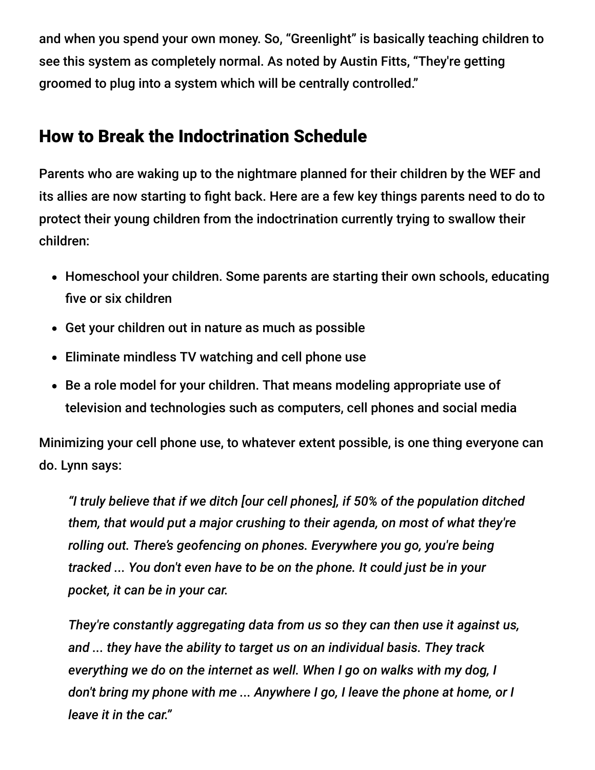and when you spend your own money. So, "Greenlight" is basically teaching children to see this system as completely normal. As noted by Austin Fitts, "They're getting groomed to plug into a system which will be centrally controlled."

### How to Break the Indoctrination Schedule

Parents who are waking up to the nightmare planned for their children by the WEF and its allies are now starting to fight back. Here are a few key things parents need to do to protect their young children from the indoctrination currently trying to swallow their children:

- Homeschool your children. Some parents are starting their own schools, educating five or six children
- Get your children out in nature as much as possible
- Eliminate mindless TV watching and cell phone use
- Be a role model for your children. That means modeling appropriate use of television and technologies such as computers, cell phones and social media

Minimizing your cell phone use, to whatever extent possible, is one thing everyone can do. Lynn says:

*"I truly believe that if we ditch [our cell phones], if 50% of the population ditched them, that would put a major crushing to their agenda, on most of what they're rolling out. There's geofencing on phones. Everywhere you go, you're being tracked ... You don't even have to be on the phone. It could just be in your pocket, it can be in your car.*

*They're constantly aggregating data from us so they can then use it against us, and ... they have the ability to target us on an individual basis. They track everything we do on the internet as well. When I go on walks with my dog, I don't bring my phone with me ... Anywhere I go, I leave the phone at home, or I leave it in the car."*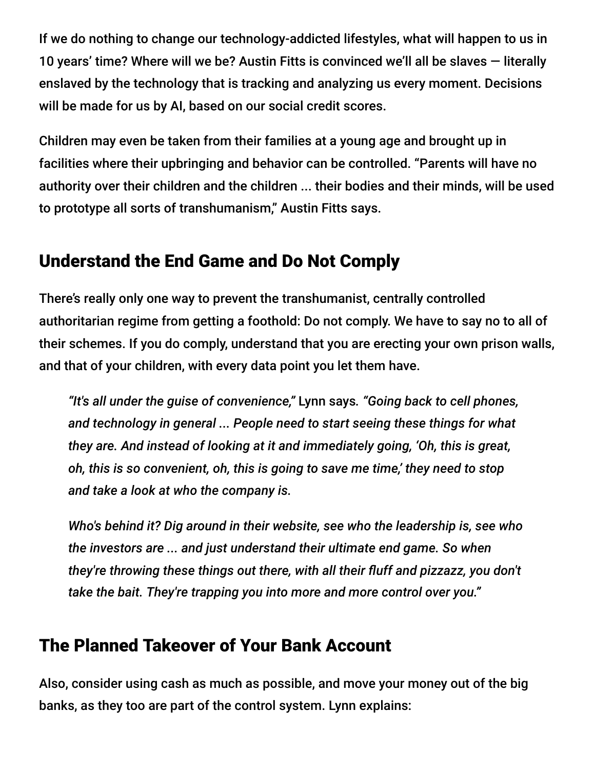If we do nothing to change our technology-addicted lifestyles, what will happen to us in 10 years' time? Where will we be? Austin Fitts is convinced we'll all be slaves — literally enslaved by the technology that is tracking and analyzing us every moment. Decisions will be made for us by AI, based on our social credit scores.

Children may even be taken from their families at a young age and brought up in facilities where their upbringing and behavior can be controlled. "Parents will have no authority over their children and the children ... their bodies and their minds, will be used to prototype all sorts of transhumanism," Austin Fitts says.

### Understand the End Game and Do Not Comply

There's really only one way to prevent the transhumanist, centrally controlled authoritarian regime from getting a foothold: Do not comply. We have to say no to all of their schemes. If you do comply, understand that you are erecting your own prison walls, and that of your children, with every data point you let them have.

*"It's all under the guise of convenience,"* Lynn says*. "Going back to cell phones, and technology in general ... People need to start seeing these things for what they are. And instead of looking at it and immediately going, 'Oh, this is great, oh, this is so convenient, oh, this is going to save me time,' they need to stop and take a look at who the company is.*

*Who's behind it? Dig around in their website, see who the leadership is, see who the investors are ... and just understand their ultimate end game. So when they're throwing these things out there, with all their fluff and pizzazz, you don't take the bait. They're trapping you into more and more control over you."*

#### The Planned Takeover of Your Bank Account

Also, consider using cash as much as possible, and move your money out of the big banks, as they too are part of the control system. Lynn explains: